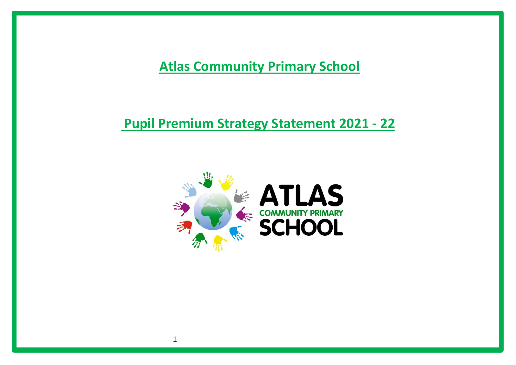**Atlas Community Primary School**

**Pupil Premium Strategy Statement 2021 - 22**



1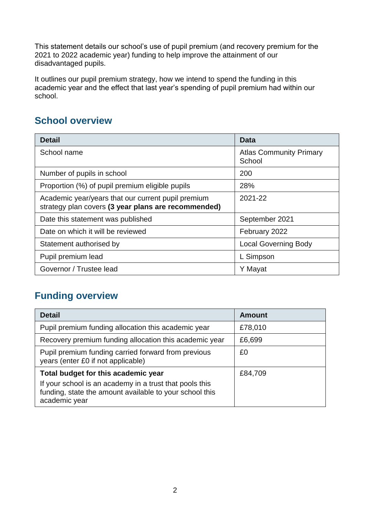This statement details our school's use of pupil premium (and recovery premium for the 2021 to 2022 academic year) funding to help improve the attainment of our disadvantaged pupils.

It outlines our pupil premium strategy, how we intend to spend the funding in this academic year and the effect that last year's spending of pupil premium had within our school.

## **School overview**

| <b>Detail</b>                                                                                             | <b>Data</b>                              |
|-----------------------------------------------------------------------------------------------------------|------------------------------------------|
| School name                                                                                               | <b>Atlas Community Primary</b><br>School |
| Number of pupils in school                                                                                | 200                                      |
| Proportion (%) of pupil premium eligible pupils                                                           | 28%                                      |
| Academic year/years that our current pupil premium<br>strategy plan covers (3 year plans are recommended) | 2021-22                                  |
| Date this statement was published                                                                         | September 2021                           |
| Date on which it will be reviewed                                                                         | February 2022                            |
| Statement authorised by                                                                                   | <b>Local Governing Body</b>              |
| Pupil premium lead                                                                                        | L Simpson                                |
| Governor / Trustee lead                                                                                   | Y Mayat                                  |

## **Funding overview**

| <b>Detail</b>                                                                                                                       | <b>Amount</b> |
|-------------------------------------------------------------------------------------------------------------------------------------|---------------|
| Pupil premium funding allocation this academic year                                                                                 | £78,010       |
| Recovery premium funding allocation this academic year                                                                              | £6,699        |
| Pupil premium funding carried forward from previous<br>years (enter £0 if not applicable)                                           | £0            |
| Total budget for this academic year                                                                                                 | £84,709       |
| If your school is an academy in a trust that pools this<br>funding, state the amount available to your school this<br>academic year |               |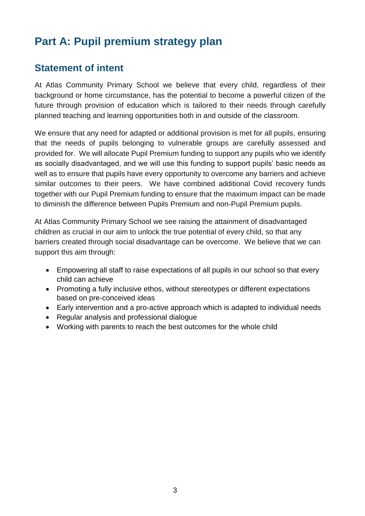# **Part A: Pupil premium strategy plan**

#### **Statement of intent**

At Atlas Community Primary School we believe that every child, regardless of their background or home circumstance, has the potential to become a powerful citizen of the future through provision of education which is tailored to their needs through carefully planned teaching and learning opportunities both in and outside of the classroom.

We ensure that any need for adapted or additional provision is met for all pupils, ensuring that the needs of pupils belonging to vulnerable groups are carefully assessed and provided for. We will allocate Pupil Premium funding to support any pupils who we identify as socially disadvantaged, and we will use this funding to support pupils' basic needs as well as to ensure that pupils have every opportunity to overcome any barriers and achieve similar outcomes to their peers. We have combined additional Covid recovery funds together with our Pupil Premium funding to ensure that the maximum impact can be made to diminish the difference between Pupils Premium and non-Pupil Premium pupils.

At Atlas Community Primary School we see raising the attainment of disadvantaged children as crucial in our aim to unlock the true potential of every child, so that any barriers created through social disadvantage can be overcome. We believe that we can support this aim through:

- Empowering all staff to raise expectations of all pupils in our school so that every child can achieve
- Promoting a fully inclusive ethos, without stereotypes or different expectations based on pre-conceived ideas
- Early intervention and a pro-active approach which is adapted to individual needs
- Regular analysis and professional dialogue
- Working with parents to reach the best outcomes for the whole child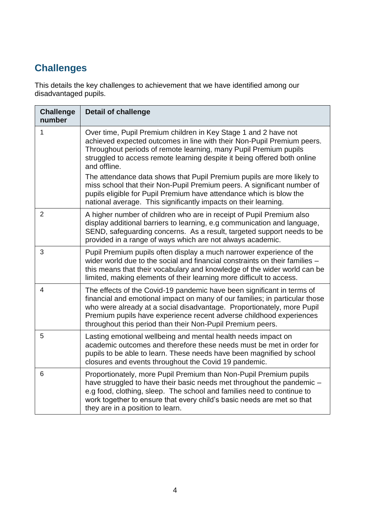# **Challenges**

This details the key challenges to achievement that we have identified among our disadvantaged pupils.

| <b>Challenge</b><br>number | <b>Detail of challenge</b>                                                                                                                                                                                                                                                                                                                                                          |
|----------------------------|-------------------------------------------------------------------------------------------------------------------------------------------------------------------------------------------------------------------------------------------------------------------------------------------------------------------------------------------------------------------------------------|
| $\mathbf{1}$               | Over time, Pupil Premium children in Key Stage 1 and 2 have not<br>achieved expected outcomes in line with their Non-Pupil Premium peers.<br>Throughout periods of remote learning, many Pupil Premium pupils<br>struggled to access remote learning despite it being offered both online<br>and offline.<br>The attendance data shows that Pupil Premium pupils are more likely to |
|                            | miss school that their Non-Pupil Premium peers. A significant number of<br>pupils eligible for Pupil Premium have attendance which is blow the<br>national average. This significantly impacts on their learning.                                                                                                                                                                   |
| $\overline{2}$             | A higher number of children who are in receipt of Pupil Premium also<br>display additional barriers to learning, e.g communication and language,<br>SEND, safeguarding concerns. As a result, targeted support needs to be<br>provided in a range of ways which are not always academic.                                                                                            |
| 3                          | Pupil Premium pupils often display a much narrower experience of the<br>wider world due to the social and financial constraints on their families -<br>this means that their vocabulary and knowledge of the wider world can be<br>limited, making elements of their learning more difficult to access.                                                                             |
| 4                          | The effects of the Covid-19 pandemic have been significant in terms of<br>financial and emotional impact on many of our families; in particular those<br>who were already at a social disadvantage. Proportionately, more Pupil<br>Premium pupils have experience recent adverse childhood experiences<br>throughout this period than their Non-Pupil Premium peers.                |
| 5                          | Lasting emotional wellbeing and mental health needs impact on<br>academic outcomes and therefore these needs must be met in order for<br>pupils to be able to learn. These needs have been magnified by school<br>closures and events throughout the Covid 19 pandemic.                                                                                                             |
| 6                          | Proportionately, more Pupil Premium than Non-Pupil Premium pupils<br>have struggled to have their basic needs met throughout the pandemic -<br>e.g food, clothing, sleep. The school and families need to continue to<br>work together to ensure that every child's basic needs are met so that<br>they are in a position to learn.                                                 |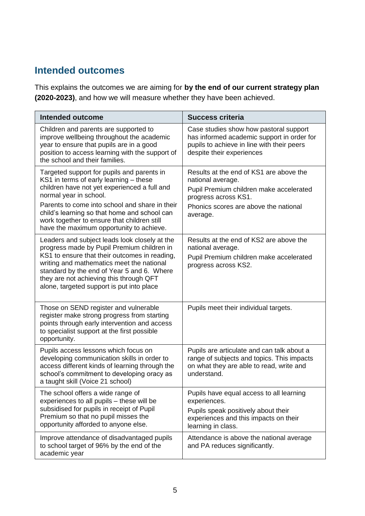# **Intended outcomes**

This explains the outcomes we are aiming for **by the end of our current strategy plan (2020-2023)**, and how we will measure whether they have been achieved.

| <b>Intended outcome</b>                                                                                                                                                                                                                                                                                                                                     | <b>Success criteria</b>                                                                                                                                                              |
|-------------------------------------------------------------------------------------------------------------------------------------------------------------------------------------------------------------------------------------------------------------------------------------------------------------------------------------------------------------|--------------------------------------------------------------------------------------------------------------------------------------------------------------------------------------|
| Children and parents are supported to<br>improve wellbeing throughout the academic<br>year to ensure that pupils are in a good<br>position to access learning with the support of<br>the school and their families.                                                                                                                                         | Case studies show how pastoral support<br>has informed academic support in order for<br>pupils to achieve in line with their peers<br>despite their experiences                      |
| Targeted support for pupils and parents in<br>KS1 in terms of early learning – these<br>children have not yet experienced a full and<br>normal year in school.<br>Parents to come into school and share in their<br>child's learning so that home and school can<br>work together to ensure that children still<br>have the maximum opportunity to achieve. | Results at the end of KS1 are above the<br>national average.<br>Pupil Premium children make accelerated<br>progress across KS1.<br>Phonics scores are above the national<br>average. |
| Leaders and subject leads look closely at the<br>progress made by Pupil Premium children in<br>KS1 to ensure that their outcomes in reading,<br>writing and mathematics meet the national<br>standard by the end of Year 5 and 6. Where<br>they are not achieving this through QFT<br>alone, targeted support is put into place                             | Results at the end of KS2 are above the<br>national average.<br>Pupil Premium children make accelerated<br>progress across KS2.                                                      |
| Those on SEND register and vulnerable<br>register make strong progress from starting<br>points through early intervention and access<br>to specialist support at the first possible<br>opportunity.                                                                                                                                                         | Pupils meet their individual targets.                                                                                                                                                |
| Pupils access lessons which focus on<br>developing communication skills in order to<br>access different kinds of learning through the<br>school's commitment to developing oracy as<br>a taught skill (Voice 21 school)                                                                                                                                     | Pupils are articulate and can talk about a<br>range of subjects and topics. This impacts<br>on what they are able to read, write and<br>understand.                                  |
| The school offers a wide range of<br>experiences to all pupils - these will be<br>subsidised for pupils in receipt of Pupil<br>Premium so that no pupil misses the<br>opportunity afforded to anyone else.                                                                                                                                                  | Pupils have equal access to all learning<br>experiences.<br>Pupils speak positively about their<br>experiences and this impacts on their<br>learning in class.                       |
| Improve attendance of disadvantaged pupils<br>to school target of 96% by the end of the<br>academic year                                                                                                                                                                                                                                                    | Attendance is above the national average<br>and PA reduces significantly.                                                                                                            |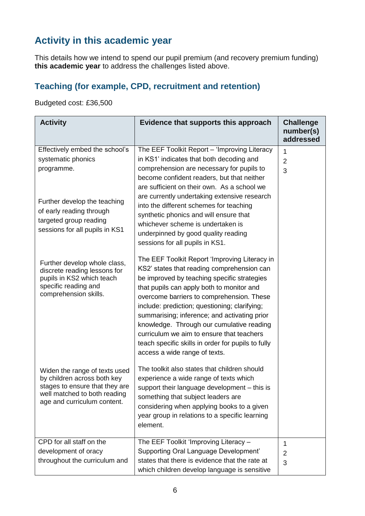# **Activity in this academic year**

This details how we intend to spend our pupil premium (and recovery premium funding) **this academic year** to address the challenges listed above.

#### **Teaching (for example, CPD, recruitment and retention)**

Budgeted cost: £36,500

| <b>Activity</b>                                                                                                                                               | Evidence that supports this approach                                                                                                                                                                                                                                                                                                                                                                                                                                                                                   | <b>Challenge</b><br>number(s)<br>addressed |
|---------------------------------------------------------------------------------------------------------------------------------------------------------------|------------------------------------------------------------------------------------------------------------------------------------------------------------------------------------------------------------------------------------------------------------------------------------------------------------------------------------------------------------------------------------------------------------------------------------------------------------------------------------------------------------------------|--------------------------------------------|
| Effectively embed the school's<br>systematic phonics<br>programme.                                                                                            | The EEF Toolkit Report - 'Improving Literacy<br>in KS1' indicates that both decoding and<br>comprehension are necessary for pupils to<br>become confident readers, but that neither<br>are sufficient on their own. As a school we<br>are currently undertaking extensive research                                                                                                                                                                                                                                     | 1<br>$\overline{2}$<br>3                   |
| Further develop the teaching<br>of early reading through<br>targeted group reading<br>sessions for all pupils in KS1                                          | into the different schemes for teaching<br>synthetic phonics and will ensure that<br>whichever scheme is undertaken is<br>underpinned by good quality reading<br>sessions for all pupils in KS1.                                                                                                                                                                                                                                                                                                                       |                                            |
| Further develop whole class,<br>discrete reading lessons for<br>pupils in KS2 which teach<br>specific reading and<br>comprehension skills.                    | The EEF Toolkit Report 'Improving Literacy in<br>KS2' states that reading comprehension can<br>be improved by teaching specific strategies<br>that pupils can apply both to monitor and<br>overcome barriers to comprehension. These<br>include: prediction; questioning; clarifying;<br>summarising; inference; and activating prior<br>knowledge. Through our cumulative reading<br>curriculum we aim to ensure that teachers<br>teach specific skills in order for pupils to fully<br>access a wide range of texts. |                                            |
| Widen the range of texts used<br>by children across both key<br>stages to ensure that they are<br>well matched to both reading<br>age and curriculum content. | The toolkit also states that children should<br>experience a wide range of texts which<br>support their language development - this is<br>something that subject leaders are<br>considering when applying books to a given<br>year group in relations to a specific learning<br>element.                                                                                                                                                                                                                               |                                            |
| CPD for all staff on the<br>development of oracy<br>throughout the curriculum and                                                                             | The EEF Toolkit 'Improving Literacy -<br><b>Supporting Oral Language Development'</b><br>states that there is evidence that the rate at<br>which children develop language is sensitive                                                                                                                                                                                                                                                                                                                                | 1<br>$\overline{2}$<br>3                   |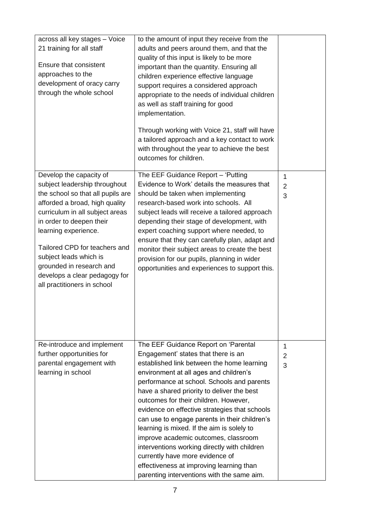| across all key stages - Voice<br>21 training for all staff<br>Ensure that consistent<br>approaches to the<br>development of oracy carry<br>through the whole school                                                                                                                                                                                                           | to the amount of input they receive from the<br>adults and peers around them, and that the<br>quality of this input is likely to be more<br>important than the quantity. Ensuring all<br>children experience effective language<br>support requires a considered approach<br>appropriate to the needs of individual children<br>as well as staff training for good<br>implementation.<br>Through working with Voice 21, staff will have<br>a tailored approach and a key contact to work<br>with throughout the year to achieve the best<br>outcomes for children.                                                                                                            |                          |
|-------------------------------------------------------------------------------------------------------------------------------------------------------------------------------------------------------------------------------------------------------------------------------------------------------------------------------------------------------------------------------|-------------------------------------------------------------------------------------------------------------------------------------------------------------------------------------------------------------------------------------------------------------------------------------------------------------------------------------------------------------------------------------------------------------------------------------------------------------------------------------------------------------------------------------------------------------------------------------------------------------------------------------------------------------------------------|--------------------------|
| Develop the capacity of<br>subject leadership throughout<br>the school so that all pupils are<br>afforded a broad, high quality<br>curriculum in all subject areas<br>in order to deepen their<br>learning experience.<br>Tailored CPD for teachers and<br>subject leads which is<br>grounded in research and<br>develops a clear pedagogy for<br>all practitioners in school | The EEF Guidance Report - 'Putting<br>Evidence to Work' details the measures that<br>should be taken when implementing<br>research-based work into schools. All<br>subject leads will receive a tailored approach<br>depending their stage of development, with<br>expert coaching support where needed, to<br>ensure that they can carefully plan, adapt and<br>monitor their subject areas to create the best<br>provision for our pupils, planning in wider<br>opportunities and experiences to support this.                                                                                                                                                              | 1<br>$\overline{2}$<br>3 |
| Re-introduce and implement<br>further opportunities for<br>parental engagement with<br>learning in school                                                                                                                                                                                                                                                                     | The EEF Guidance Report on 'Parental<br>Engagement' states that there is an<br>established link between the home learning<br>environment at all ages and children's<br>performance at school. Schools and parents<br>have a shared priority to deliver the best<br>outcomes for their children. However,<br>evidence on effective strategies that schools<br>can use to engage parents in their children's<br>learning is mixed. If the aim is solely to<br>improve academic outcomes, classroom<br>interventions working directly with children<br>currently have more evidence of<br>effectiveness at improving learning than<br>parenting interventions with the same aim. | 1<br>2<br>3              |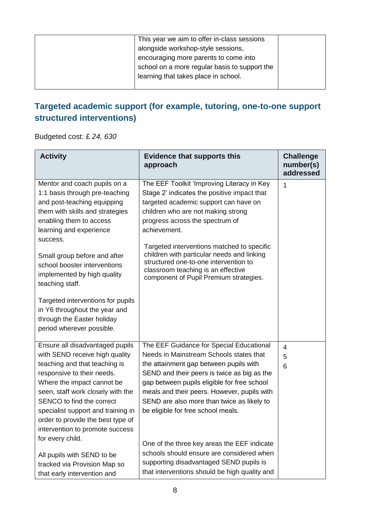| This year we aim to offer in-class sessions   |  |
|-----------------------------------------------|--|
| alongside workshop-style sessions,            |  |
| encouraging more parents to come into         |  |
| school on a more regular basis to support the |  |
| learning that takes place in school.          |  |
|                                               |  |

# **Targeted academic support (for example, tutoring, one-to-one support structured interventions)**

Budgeted cost: £ *24, 630*

| <b>Activity</b>                                                                                                                                                                                                                                                                                                                                                    | <b>Evidence that supports this</b><br>approach                                                                                                                                                                                                                                                                                                                                                                                                   | <b>Challenge</b><br>number(s)<br>addressed |
|--------------------------------------------------------------------------------------------------------------------------------------------------------------------------------------------------------------------------------------------------------------------------------------------------------------------------------------------------------------------|--------------------------------------------------------------------------------------------------------------------------------------------------------------------------------------------------------------------------------------------------------------------------------------------------------------------------------------------------------------------------------------------------------------------------------------------------|--------------------------------------------|
| Mentor and coach pupils on a<br>1:1 basis through pre-teaching<br>and post-teaching equipping<br>them with skills and strategies<br>enabling them to access<br>learning and experience<br>success.<br>Small group before and after<br>school booster interventions<br>implemented by high quality<br>teaching staff.                                               | The EEF Toolkit 'Improving Literacy in Key<br>Stage 2' indicates the positive impact that<br>targeted academic support can have on<br>children who are not making strong<br>progress across the spectrum of<br>achievement.<br>Targeted interventions matched to specific<br>children with particular needs and linking<br>structured one-to-one intervention to<br>classroom teaching is an effective<br>component of Pupil Premium strategies. | 1                                          |
| Targeted interventions for pupils<br>in Y6 throughout the year and<br>through the Easter holiday<br>period wherever possible.                                                                                                                                                                                                                                      |                                                                                                                                                                                                                                                                                                                                                                                                                                                  |                                            |
| Ensure all disadvantaged pupils<br>with SEND receive high quality<br>teaching and that teaching is<br>responsive to their needs.<br>Where the impact cannot be<br>seen, staff work closely with the<br>SENCO to find the correct<br>specialist support and training in<br>order to provide the best type of<br>intervention to promote success<br>for every child. | The EEF Guidance for Special Educational<br>Needs in Mainstream Schools states that<br>the attainment gap between pupils with<br>SEND and their peers is twice as big as the<br>gap between pupils eligible for free school<br>meals and their peers. However, pupils with<br>SEND are also more than twice as likely to<br>be eligible for free school meals.                                                                                   | 4<br>5<br>6                                |
| All pupils with SEND to be<br>tracked via Provision Map so<br>that early intervention and                                                                                                                                                                                                                                                                          | One of the three key areas the EEF indicate<br>schools should ensure are considered when<br>supporting disadvantaged SEND pupils is<br>that interventions should be high quality and                                                                                                                                                                                                                                                             |                                            |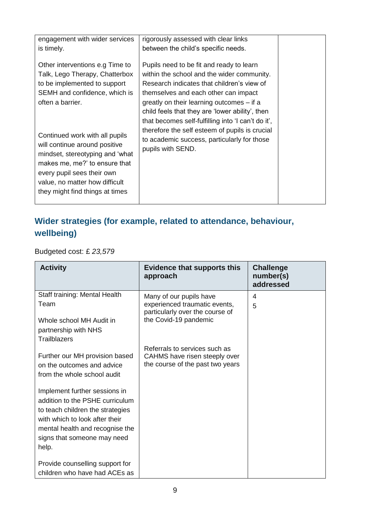| engagement with wider services<br>is timely.                                                                                                                                                                                                                                                                                                                  | rigorously assessed with clear links<br>between the child's specific needs.                                                                                                                                                                                                                                                                                                                                                                              |  |
|---------------------------------------------------------------------------------------------------------------------------------------------------------------------------------------------------------------------------------------------------------------------------------------------------------------------------------------------------------------|----------------------------------------------------------------------------------------------------------------------------------------------------------------------------------------------------------------------------------------------------------------------------------------------------------------------------------------------------------------------------------------------------------------------------------------------------------|--|
| Other interventions e.g Time to<br>Talk, Lego Therapy, Chatterbox<br>to be implemented to support<br>SEMH and confidence, which is<br>often a barrier.<br>Continued work with all pupils<br>will continue around positive<br>mindset, stereotyping and 'what<br>makes me, me?' to ensure that<br>every pupil sees their own<br>value, no matter how difficult | Pupils need to be fit and ready to learn<br>within the school and the wider community.<br>Research indicates that children's view of<br>themselves and each other can impact<br>greatly on their learning outcomes – if a<br>child feels that they are 'lower ability', then<br>that becomes self-fulfilling into 'I can't do it',<br>therefore the self esteem of pupils is crucial<br>to academic success, particularly for those<br>pupils with SEND. |  |
| they might find things at times                                                                                                                                                                                                                                                                                                                               |                                                                                                                                                                                                                                                                                                                                                                                                                                                          |  |

# **Wider strategies (for example, related to attendance, behaviour, wellbeing)**

Budgeted cost: £ *23,579*

| <b>Activity</b>                                                     | <b>Evidence that supports this</b><br>approach                   | <b>Challenge</b><br>number(s)<br>addressed |
|---------------------------------------------------------------------|------------------------------------------------------------------|--------------------------------------------|
| Staff training: Mental Health                                       | Many of our pupils have                                          | 4                                          |
| Team                                                                | experienced traumatic events,<br>particularly over the course of | 5                                          |
| Whole school MH Audit in                                            | the Covid-19 pandemic                                            |                                            |
| partnership with NHS                                                |                                                                  |                                            |
| Trailblazers                                                        | Referrals to services such as                                    |                                            |
| Further our MH provision based                                      | CAHMS have risen steeply over                                    |                                            |
| on the outcomes and advice<br>from the whole school audit           | the course of the past two years                                 |                                            |
|                                                                     |                                                                  |                                            |
| Implement further sessions in                                       |                                                                  |                                            |
| addition to the PSHE curriculum<br>to teach children the strategies |                                                                  |                                            |
| with which to look after their                                      |                                                                  |                                            |
| mental health and recognise the                                     |                                                                  |                                            |
| signs that someone may need                                         |                                                                  |                                            |
| help.                                                               |                                                                  |                                            |
| Provide counselling support for                                     |                                                                  |                                            |
| children who have had ACEs as                                       |                                                                  |                                            |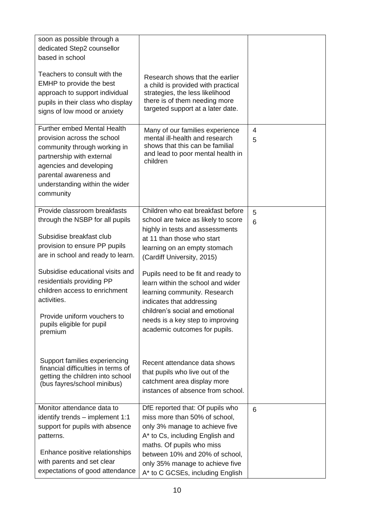| soon as possible through a<br>dedicated Step2 counsellor<br>based in school<br>Teachers to consult with the<br>EMHP to provide the best<br>approach to support individual<br>pupils in their class who display<br>signs of low mood or anxiety | Research shows that the earlier<br>a child is provided with practical<br>strategies, the less likelihood<br>there is of them needing more<br>targeted support at a later date.                                                                                               |        |
|------------------------------------------------------------------------------------------------------------------------------------------------------------------------------------------------------------------------------------------------|------------------------------------------------------------------------------------------------------------------------------------------------------------------------------------------------------------------------------------------------------------------------------|--------|
| <b>Further embed Mental Health</b><br>provision across the school<br>community through working in<br>partnership with external<br>agencies and developing<br>parental awareness and<br>understanding within the wider<br>community             | Many of our families experience<br>mental ill-health and research<br>shows that this can be familial<br>and lead to poor mental health in<br>children                                                                                                                        | 4<br>5 |
| Provide classroom breakfasts<br>through the NSBP for all pupils<br>Subsidise breakfast club<br>provision to ensure PP pupils<br>are in school and ready to learn.                                                                              | Children who eat breakfast before<br>school are twice as likely to score<br>highly in tests and assessments<br>at 11 than those who start<br>learning on an empty stomach<br>(Cardiff University, 2015)                                                                      | 5<br>6 |
| Subsidise educational visits and<br>residentials providing PP<br>children access to enrichment<br>activities.<br>Provide uniform vouchers to<br>pupils eligible for pupil<br>premium                                                           | Pupils need to be fit and ready to<br>learn within the school and wider<br>learning community. Research<br>indicates that addressing<br>children's social and emotional<br>needs is a key step to improving<br>academic outcomes for pupils.                                 |        |
| Support families experiencing<br>financial difficulties in terms of<br>getting the children into school<br>(bus fayres/school minibus)                                                                                                         | Recent attendance data shows<br>that pupils who live out of the<br>catchment area display more<br>instances of absence from school.                                                                                                                                          |        |
| Monitor attendance data to<br>identify trends - implement 1:1<br>support for pupils with absence<br>patterns.<br>Enhance positive relationships<br>with parents and set clear<br>expectations of good attendance                               | DfE reported that: Of pupils who<br>miss more than 50% of school,<br>only 3% manage to achieve five<br>A* to Cs, including English and<br>maths. Of pupils who miss<br>between 10% and 20% of school,<br>only 35% manage to achieve five<br>A* to C GCSEs, including English | 6      |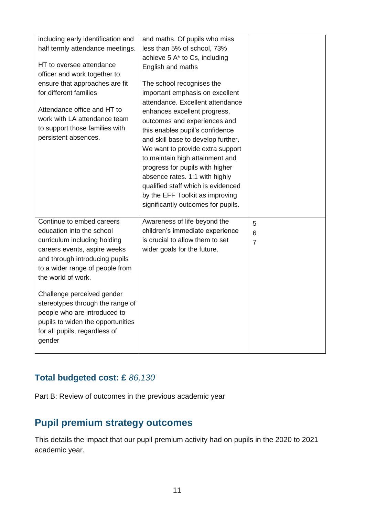| including early identification and<br>half termly attendance meetings.<br>HT to oversee attendance<br>officer and work together to<br>ensure that approaches are fit<br>for different families<br>Attendance office and HT to<br>work with LA attendance team<br>to support those families with<br>persistent absences.                                                                             | and maths. Of pupils who miss<br>less than 5% of school, 73%<br>achieve 5 A* to Cs, including<br>English and maths<br>The school recognises the<br>important emphasis on excellent<br>attendance. Excellent attendance<br>enhances excellent progress,<br>outcomes and experiences and<br>this enables pupil's confidence<br>and skill base to develop further.<br>We want to provide extra support<br>to maintain high attainment and<br>progress for pupils with higher<br>absence rates. 1:1 with highly<br>qualified staff which is evidenced<br>by the EFF Toolkit as improving |                          |
|-----------------------------------------------------------------------------------------------------------------------------------------------------------------------------------------------------------------------------------------------------------------------------------------------------------------------------------------------------------------------------------------------------|--------------------------------------------------------------------------------------------------------------------------------------------------------------------------------------------------------------------------------------------------------------------------------------------------------------------------------------------------------------------------------------------------------------------------------------------------------------------------------------------------------------------------------------------------------------------------------------|--------------------------|
| Continue to embed careers<br>education into the school<br>curriculum including holding<br>careers events, aspire weeks<br>and through introducing pupils<br>to a wider range of people from<br>the world of work.<br>Challenge perceived gender<br>stereotypes through the range of<br>people who are introduced to<br>pupils to widen the opportunities<br>for all pupils, regardless of<br>gender | significantly outcomes for pupils.<br>Awareness of life beyond the<br>children's immediate experience<br>is crucial to allow them to set<br>wider goals for the future.                                                                                                                                                                                                                                                                                                                                                                                                              | 5<br>6<br>$\overline{7}$ |

#### **Total budgeted cost: £** *86,130*

Part B: Review of outcomes in the previous academic year

# **Pupil premium strategy outcomes**

This details the impact that our pupil premium activity had on pupils in the 2020 to 2021 academic year.